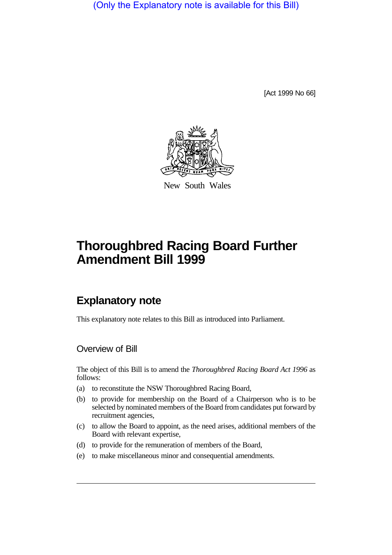(Only the Explanatory note is available for this Bill)

[Act 1999 No 66]



New South Wales

# **Thoroughbred Racing Board Further Amendment Bill 1999**

## **Explanatory note**

This explanatory note relates to this Bill as introduced into Parliament.

#### Overview of Bill

The object of this Bill is to amend the *Thoroughbred Racing Board Act 1996* as follows:

- (a) to reconstitute the NSW Thoroughbred Racing Board,
- (b) to provide for membership on the Board of a Chairperson who is to be selected by nominated members of the Board from candidates put forward by recruitment agencies,
- (c) to allow the Board to appoint, as the need arises, additional members of the Board with relevant expertise,
- (d) to provide for the remuneration of members of the Board,
- (e) to make miscellaneous minor and consequential amendments.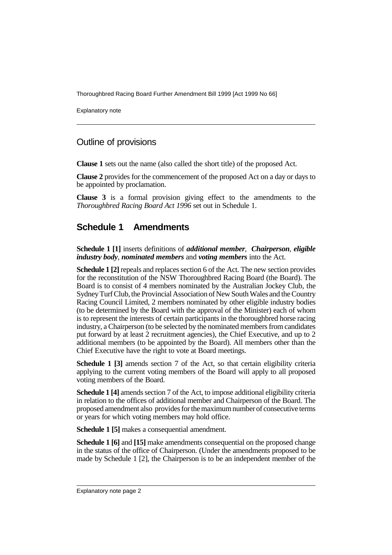Thoroughbred Racing Board Further Amendment Bill 1999 [Act 1999 No 66]

Explanatory note

#### Outline of provisions

**Clause 1** sets out the name (also called the short title) of the proposed Act.

**Clause 2** provides for the commencement of the proposed Act on a day or days to be appointed by proclamation.

**Clause 3** is a formal provision giving effect to the amendments to the *Thoroughbred Racing Board Act 1996* set out in Schedule 1.

### **Schedule 1 Amendments**

**Schedule 1 [1]** inserts definitions of *additional member*, *Chairperson*, *eligible industry body*, *nominated members* and *voting members* into the Act.

**Schedule 1 [2]** repeals and replaces section 6 of the Act. The new section provides for the reconstitution of the NSW Thoroughbred Racing Board (the Board). The Board is to consist of 4 members nominated by the Australian Jockey Club, the Sydney Turf Club, the Provincial Association of New South Wales and the Country Racing Council Limited, 2 members nominated by other eligible industry bodies (to be determined by the Board with the approval of the Minister) each of whom is to represent the interests of certain participants in the thoroughbred horse racing industry, a Chairperson (to be selected by the nominated members from candidates put forward by at least 2 recruitment agencies), the Chief Executive, and up to 2 additional members (to be appointed by the Board). All members other than the Chief Executive have the right to vote at Board meetings.

**Schedule 1 [3]** amends section 7 of the Act, so that certain eligibility criteria applying to the current voting members of the Board will apply to all proposed voting members of the Board.

**Schedule 1 [4]** amends section 7 of the Act, to impose additional eligibility criteria in relation to the offices of additional member and Chairperson of the Board. The proposed amendment also provides for the maximum number of consecutive terms or years for which voting members may hold office.

**Schedule 1 [5]** makes a consequential amendment.

**Schedule 1 [6]** and **[15]** make amendments consequential on the proposed change in the status of the office of Chairperson. (Under the amendments proposed to be made by Schedule 1 [2], the Chairperson is to be an independent member of the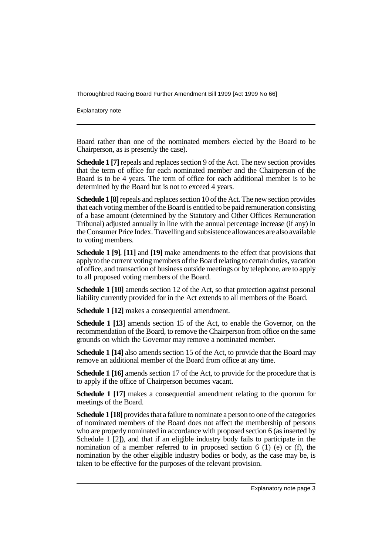Thoroughbred Racing Board Further Amendment Bill 1999 [Act 1999 No 66]

Explanatory note

Board rather than one of the nominated members elected by the Board to be Chairperson, as is presently the case).

**Schedule 1 [7]** repeals and replaces section 9 of the Act. The new section provides that the term of office for each nominated member and the Chairperson of the Board is to be 4 years. The term of office for each additional member is to be determined by the Board but is not to exceed 4 years.

**Schedule 1 [8]** repeals and replaces section 10 of the Act. The new section provides that each voting member of the Board is entitled to be paid remuneration consisting of a base amount (determined by the Statutory and Other Offices Remuneration Tribunal) adjusted annually in line with the annual percentage increase (if any) in the Consumer Price Index. Travelling and subsistence allowances are also available to voting members.

**Schedule 1 [9]**, **[11]** and **[19]** make amendments to the effect that provisions that apply to the current voting members of the Board relating to certain duties, vacation of office, and transaction of business outside meetings or by telephone, are to apply to all proposed voting members of the Board.

**Schedule 1 [10]** amends section 12 of the Act, so that protection against personal liability currently provided for in the Act extends to all members of the Board.

**Schedule 1 [12]** makes a consequential amendment.

**Schedule 1 [13**] amends section 15 of the Act, to enable the Governor, on the recommendation of the Board, to remove the Chairperson from office on the same grounds on which the Governor may remove a nominated member.

**Schedule 1 [14]** also amends section 15 of the Act, to provide that the Board may remove an additional member of the Board from office at any time.

**Schedule 1 [16]** amends section 17 of the Act, to provide for the procedure that is to apply if the office of Chairperson becomes vacant.

**Schedule 1 [17]** makes a consequential amendment relating to the quorum for meetings of the Board.

**Schedule 1 [18]** provides that a failure to nominate a person to one of the categories of nominated members of the Board does not affect the membership of persons who are properly nominated in accordance with proposed section 6 (as inserted by Schedule 1 [2]), and that if an eligible industry body fails to participate in the nomination of a member referred to in proposed section  $6(1)$  (e) or (f), the nomination by the other eligible industry bodies or body, as the case may be, is taken to be effective for the purposes of the relevant provision.